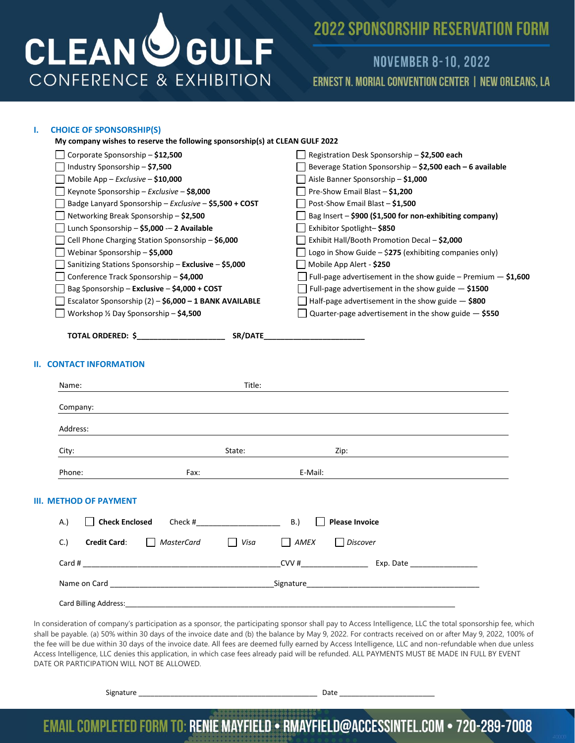

## **NOVEMBER 8-10, 2022 ERNEST N. MORIAL CONVENTION CENTER | NEW ORLEANS, LA**

### **I. CHOICE OF SPONSORSHIP(S)**

| <u>UNUILE UF SPUNSUNSHIP(3)</u>                                                                                                                                                                                               |                                                                                                               |  |
|-------------------------------------------------------------------------------------------------------------------------------------------------------------------------------------------------------------------------------|---------------------------------------------------------------------------------------------------------------|--|
| My company wishes to reserve the following sponsorship(s) at CLEAN GULF 2022                                                                                                                                                  |                                                                                                               |  |
| Corporate Sponsorship - \$12,500                                                                                                                                                                                              | Registration Desk Sponsorship - \$2,500 each                                                                  |  |
| Industry Sponsorship - \$7,500                                                                                                                                                                                                | Beverage Station Sponsorship - \$2,500 each - 6 available                                                     |  |
| Mobile App - Exclusive - \$10,000                                                                                                                                                                                             | Aisle Banner Sponsorship - \$1,000                                                                            |  |
| Keynote Sponsorship - Exclusive - \$8,000                                                                                                                                                                                     | Pre-Show Email Blast - \$1,200                                                                                |  |
| Badge Lanyard Sponsorship - Exclusive - \$5,500 + COST                                                                                                                                                                        | Post-Show Email Blast - \$1,500                                                                               |  |
| Networking Break Sponsorship - \$2,500                                                                                                                                                                                        | Bag Insert - \$900 (\$1,500 for non-exhibiting company)                                                       |  |
| Lunch Sponsorship - \$5,000 -- 2 Available                                                                                                                                                                                    | Exhibitor Spotlight-\$850                                                                                     |  |
| Cell Phone Charging Station Sponsorship - \$6,000                                                                                                                                                                             | Exhibit Hall/Booth Promotion Decal - \$2,000                                                                  |  |
| Webinar Sponsorship - \$5,000                                                                                                                                                                                                 | Logo in Show Guide - \$275 (exhibiting companies only)                                                        |  |
| Sanitizing Stations Sponsorship – Exclusive – \$5,000                                                                                                                                                                         | Mobile App Alert - \$250                                                                                      |  |
| Conference Track Sponsorship - \$4,000                                                                                                                                                                                        | Full-page advertisement in the show guide - Premium $-$ \$1,600                                               |  |
| Bag Sponsorship - Exclusive - \$4,000 + COST                                                                                                                                                                                  | Full-page advertisement in the show guide $-$ \$1500                                                          |  |
| Escalator Sponsorship (2) - \$6,000 - 1 BANK AVAILABLE                                                                                                                                                                        | Half-page advertisement in the show guide $-$ \$800                                                           |  |
| Workshop 1/2 Day Sponsorship - \$4,500                                                                                                                                                                                        | Quarter-page advertisement in the show guide $-$ \$550                                                        |  |
| <b>II. CONTACT INFORMATION</b>                                                                                                                                                                                                |                                                                                                               |  |
| Title:<br>Name:                                                                                                                                                                                                               |                                                                                                               |  |
| Company:                                                                                                                                                                                                                      |                                                                                                               |  |
| Address:                                                                                                                                                                                                                      |                                                                                                               |  |
| State:<br>City:                                                                                                                                                                                                               | Zip:                                                                                                          |  |
| Phone:<br>Fax:                                                                                                                                                                                                                | E-Mail:                                                                                                       |  |
| III. METHOD OF PAYMENT                                                                                                                                                                                                        |                                                                                                               |  |
| A.)<br><b>Check Enclosed</b><br>Check #                                                                                                                                                                                       | B.)<br><b>Please Invoice</b>                                                                                  |  |
| C.<br><b>Credit Card:</b><br><b>MasterCard</b><br>Visa                                                                                                                                                                        | AMEX<br>$\perp$<br><b>Discover</b>                                                                            |  |
| Card #                                                                                                                                                                                                                        | $CVV$ #<br>Exp. Date                                                                                          |  |
| Name on Card and the contract of the contract of the contract of the contract of the contract of the contract of the contract of the contract of the contract of the contract of the contract of the contract of the contract | Signature that the state of the state of the state of the state of the state of the state of the state of the |  |
|                                                                                                                                                                                                                               |                                                                                                               |  |

Card Billing Address:

In consideration of company's participation as a sponsor, the participating sponsor shall pay to Access Intelligence, LLC the total sponsorship fee, which shall be payable. (a) 50% within 30 days of the invoice date and (b) the balance by May 9, 2022. For contracts received on or after May 9, 2022, 100% of the fee will be due within 30 days of the invoice date. All fees are deemed fully earned by Access Intelligence, LLC and non-refundable when due unless Access Intelligence, LLC denies this application, in which case fees already paid will be refunded. ALL PAYMENTS MUST BE MADE IN FULL BY EVENT DATE OR PARTICIPATION WILL NOT BE ALLOWED.

Signature **Date 2012**